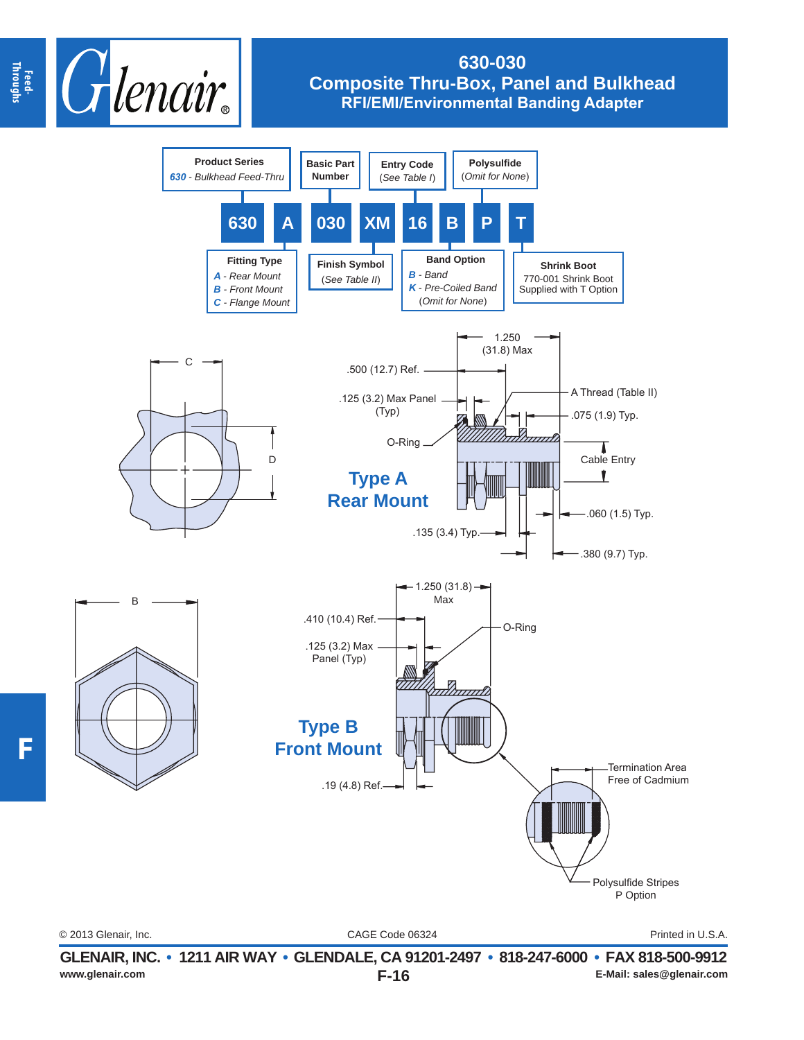

## **630-030 Composite Thru-Box, Panel and Bulkhead RFI/EMI/Environmental Banding Adapter**



**F**

CAGE Code 06324 © 2013 Glenair, Inc. Printed in U.S.A.